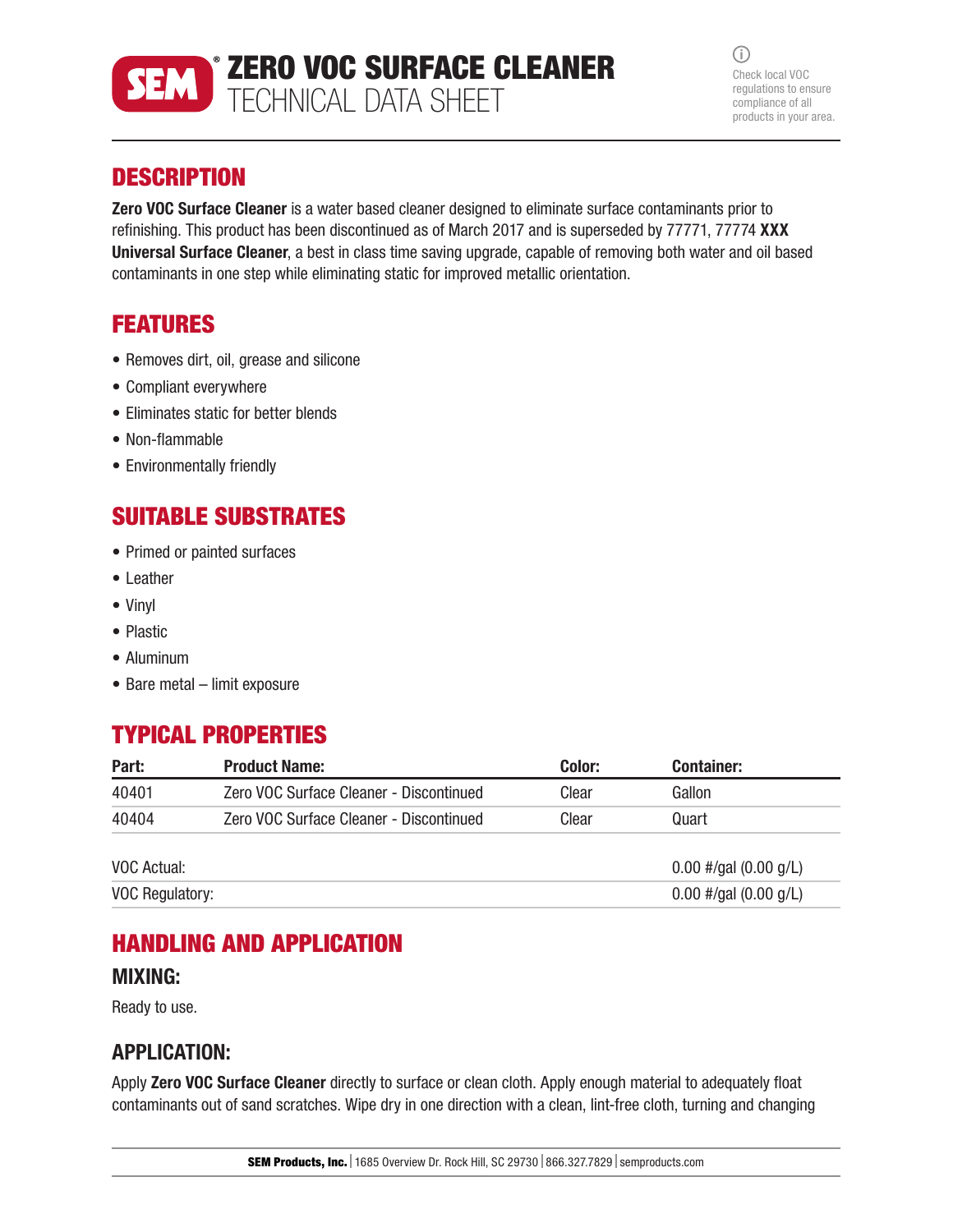

 $\bigcirc$ Check local VOC regulations to ensure compliance of all products in your area.

## **DESCRIPTION**

**Zero VOC Surface Cleaner** is a water based cleaner designed to eliminate surface contaminants prior to refinishing. This product has been discontinued as of March 2017 and is superseded by 77771, 77774 XXX Universal Surface Cleaner, a best in class time saving upgrade, capable of removing both water and oil based contaminants in one step while eliminating static for improved metallic orientation.

### FEATURES

- Removes dirt, oil, grease and silicone
- Compliant everywhere
- Eliminates static for better blends
- Non-flammable
- Environmentally friendly

# SUITABLE SUBSTRATES

- Primed or painted surfaces
- Leather
- Vinyl
- Plastic
- Aluminum
- Bare metal limit exposure

### TYPICAL PROPERTIES

| Part:           | <b>Product Name:</b>                    | Color: | <b>Container:</b>       |
|-----------------|-----------------------------------------|--------|-------------------------|
| 40401           | Zero VOC Surface Cleaner - Discontinued | Clear  | Gallon                  |
| 40404           | Zero VOC Surface Cleaner - Discontinued | Clear  | Quart                   |
| VOC Actual:     |                                         |        | $0.00$ #/gal (0.00 g/L) |
| VOC Regulatory: |                                         |        | $0.00$ #/gal (0.00 g/L) |

### HANDLING AND APPLICATION

#### MIXING:

Ready to use.

### APPLICATION:

Apply Zero VOC Surface Cleaner directly to surface or clean cloth. Apply enough material to adequately float contaminants out of sand scratches. Wipe dry in one direction with a clean, lint-free cloth, turning and changing